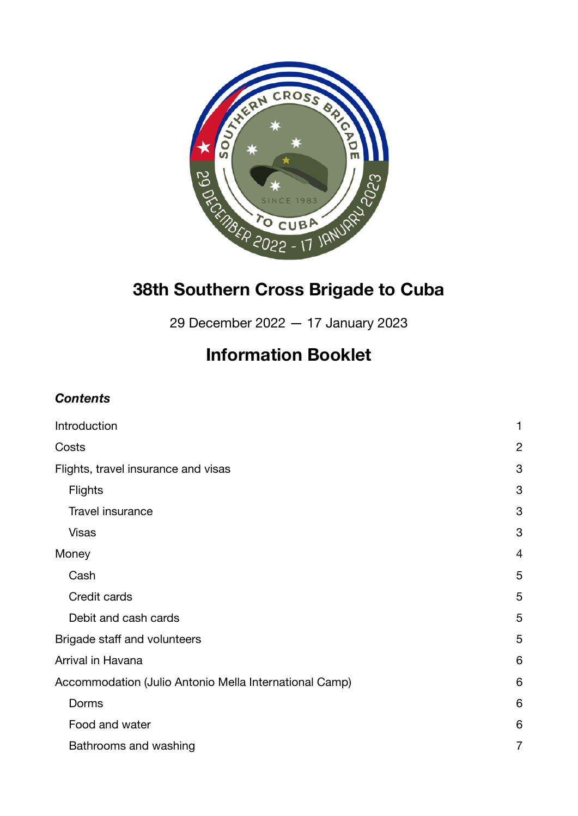

# **38th Southern Cross Brigade to Cuba**

29 December 2022 — 17 January 2023

# **Information Booklet**

# *Contents*

| Introduction                                           | 1              |
|--------------------------------------------------------|----------------|
| Costs                                                  | $\overline{2}$ |
| Flights, travel insurance and visas                    | 3              |
| Flights                                                | 3              |
| Travel insurance                                       | 3              |
| <b>Visas</b>                                           | 3              |
| Money                                                  | $\overline{4}$ |
| Cash                                                   | 5              |
| Credit cards                                           | 5              |
| Debit and cash cards                                   | 5              |
| Brigade staff and volunteers                           | 5              |
| Arrival in Havana                                      | 6              |
| Accommodation (Julio Antonio Mella International Camp) | 6              |
| Dorms                                                  | 6              |
| Food and water                                         | 6              |
| Bathrooms and washing                                  | 7              |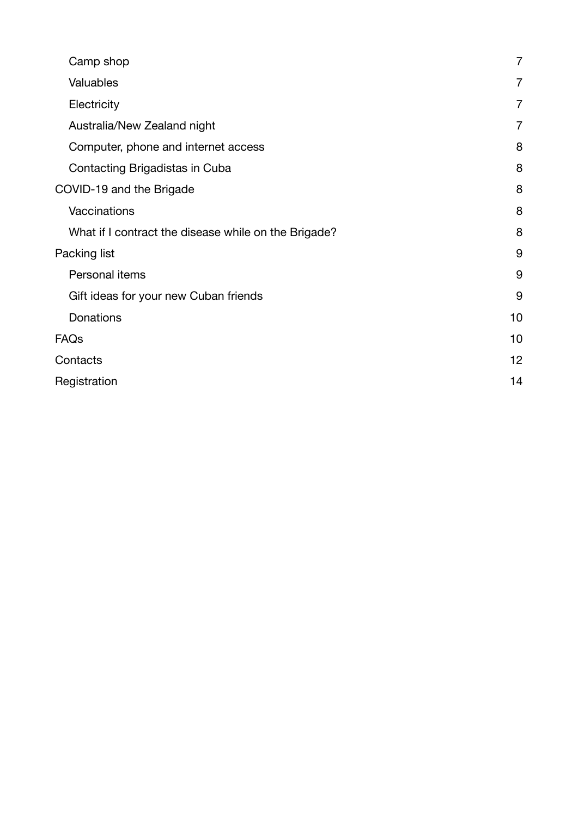| Camp shop                                            | $\overline{7}$ |
|------------------------------------------------------|----------------|
| Valuables                                            | $\overline{7}$ |
| Electricity                                          | 7              |
| Australia/New Zealand night                          | $\overline{7}$ |
| Computer, phone and internet access                  | 8              |
| Contacting Brigadistas in Cuba                       | 8              |
| COVID-19 and the Brigade                             | 8              |
| Vaccinations                                         | 8              |
| What if I contract the disease while on the Brigade? | 8              |
| Packing list                                         | 9              |
| Personal items                                       | 9              |
| Gift ideas for your new Cuban friends                | 9              |
| <b>Donations</b>                                     | 10             |
| FAQs                                                 | 10             |
| Contacts                                             | 12             |
| Registration                                         | 14             |
|                                                      |                |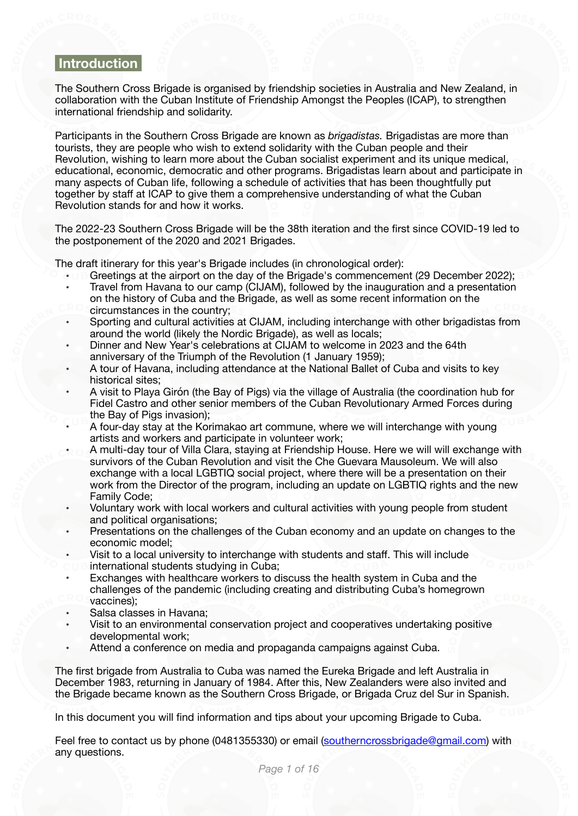## <span id="page-2-0"></span> **Introduction**

The Southern Cross Brigade is organised by friendship societies in Australia and New Zealand, in collaboration with the Cuban Institute of Friendship Amongst the Peoples (ICAP), to strengthen international friendship and solidarity.

Participants in the Southern Cross Brigade are known as *brigadistas.* Brigadistas are more than tourists, they are people who wish to extend solidarity with the Cuban people and their Revolution, wishing to learn more about the Cuban socialist experiment and its unique medical, educational, economic, democratic and other programs. Brigadistas learn about and participate in many aspects of Cuban life, following a schedule of activities that has been thoughtfully put together by staff at ICAP to give them a comprehensive understanding of what the Cuban Revolution stands for and how it works.

The 2022-23 Southern Cross Brigade will be the 38th iteration and the first since COVID-19 led to the postponement of the 2020 and 2021 Brigades.

The draft itinerary for this year's Brigade includes (in chronological order):

- Greetings at the airport on the day of the Brigade's commencement (29 December 2022);
- Travel from Havana to our camp (CIJAM), followed by the inauguration and a presentation on the history of Cuba and the Brigade, as well as some recent information on the circumstances in the country;
- Sporting and cultural activities at CIJAM, including interchange with other brigadistas from around the world (likely the Nordic Brigade), as well as locals;
- Dinner and New Year's celebrations at CIJAM to welcome in 2023 and the 64th anniversary of the Triumph of the Revolution (1 January 1959);
- A tour of Havana, including attendance at the National Ballet of Cuba and visits to key historical sites;
- A visit to Playa Girón (the Bay of Pigs) via the village of Australia (the coordination hub for Fidel Castro and other senior members of the Cuban Revolutionary Armed Forces during the Bay of Pigs invasion);
- A four-day stay at the Korimakao art commune, where we will interchange with young artists and workers and participate in volunteer work;
- A multi-day tour of Villa Clara, staying at Friendship House. Here we will will exchange with survivors of the Cuban Revolution and visit the Che Guevara Mausoleum. We will also exchange with a local LGBTIQ social project, where there will be a presentation on their work from the Director of the program, including an update on LGBTIQ rights and the new Family Code;
- Voluntary work with local workers and cultural activities with young people from student and political organisations;
- Presentations on the challenges of the Cuban economy and an update on changes to the economic model;
- Visit to a local university to interchange with students and staff. This will include
- international students studying in Cuba;
- Exchanges with healthcare workers to discuss the health system in Cuba and the challenges of the pandemic (including creating and distributing Cuba's homegrown vaccines);
- Salsa classes in Havana;
- Visit to an environmental conservation project and cooperatives undertaking positive developmental work;
- Attend a conference on media and propaganda campaigns against Cuba.

The first brigade from Australia to Cuba was named the Eureka Brigade and left Australia in December 1983, returning in January of 1984. After this, New Zealanders were also invited and the Brigade became known as the Southern Cross Brigade, or Brigada Cruz del Sur in Spanish.

In this document you will find information and tips about your upcoming Brigade to Cuba.

Feel free to contact us by phone (0481355330) or email ([southerncrossbrigade@gmail.com\)](mailto:southerncrossbrigade@gmail.com) with any questions.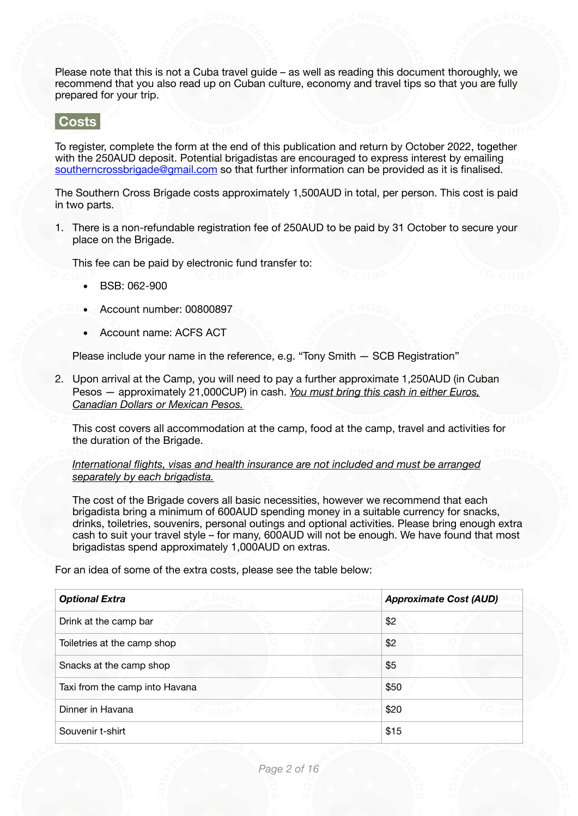Please note that this is not a Cuba travel guide – as well as reading this document thoroughly, we recommend that you also read up on Cuban culture, economy and travel tips so that you are fully prepared for your trip.

<span id="page-3-0"></span> **Costs** 

To register, complete the form at the end of this publication and return by October 2022, together with the 250AUD deposit. Potential brigadistas are encouraged to express interest by emailing [southerncrossbrigade@gmail.com](mailto:southerncrossbrigade@gmail.com) so that further information can be provided as it is finalised.

The Southern Cross Brigade costs approximately 1,500AUD in total, per person. This cost is paid in two parts.

1. There is a non-refundable registration fee of 250AUD to be paid by 31 October to secure your place on the Brigade.

This fee can be paid by electronic fund transfer to:

- BSB: 062-900
- Account number: 00800897
- Account name: ACFS ACT

Please include your name in the reference, e.g. "Tony Smith — SCB Registration"

2. Upon arrival at the Camp, you will need to pay a further approximate 1,250AUD (in Cuban Pesos — approximately 21,000CUP) in cash. *You must bring this cash in either Euros, Canadian Dollars or Mexican Pesos.*

This cost covers all accommodation at the camp, food at the camp, travel and activities for the duration of the Brigade.

*International flights, visas and health insurance are not included and must be arranged separately by each brigadista.*

The cost of the Brigade covers all basic necessities, however we recommend that each brigadista bring a minimum of 600AUD spending money in a suitable currency for snacks, drinks, toiletries, souvenirs, personal outings and optional activities. Please bring enough extra cash to suit your travel style – for many, 600AUD will not be enough. We have found that most brigadistas spend approximately 1,000AUD on extras.

For an idea of some of the extra costs, please see the table below:

| <b>Optional Extra</b>          | <b>Approximate Cost (AUD)</b> |
|--------------------------------|-------------------------------|
| Drink at the camp bar          | \$2                           |
| Toiletries at the camp shop    | \$2                           |
| Snacks at the camp shop        | \$5                           |
| Taxi from the camp into Havana | \$50                          |
| Dinner in Havana               | \$20                          |
| Souvenir t-shirt               | \$15                          |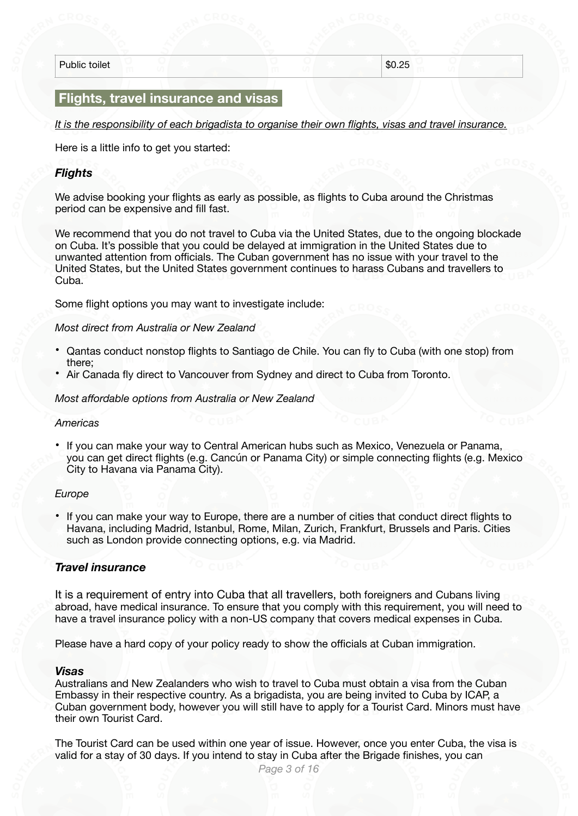Public toilet  $\sim$  \$0.25

## <span id="page-4-0"></span> **Flights, travel insurance and visas**

*It is the responsibility of each brigadista to organise their own flights, visas and travel insurance.* 

Here is a little info to get you started:

#### <span id="page-4-1"></span>*Flights*

We advise booking your flights as early as possible, as flights to Cuba around the Christmas period can be expensive and fill fast.

We recommend that you do not travel to Cuba via the United States, due to the ongoing blockade on Cuba. It's possible that you could be delayed at immigration in the United States due to unwanted attention from officials. The Cuban government has no issue with your travel to the United States, but the United States government continues to harass Cubans and travellers to Cuba.

Some flight options you may want to investigate include:

#### *Most direct from Australia or New Zealand*

- Qantas conduct nonstop flights to Santiago de Chile. You can fly to Cuba (with one stop) from there;
- Air Canada fly direct to Vancouver from Sydney and direct to Cuba from Toronto.

*Most affordable options from Australia or New Zealand* 

#### *Americas*

• If you can make your way to Central American hubs such as Mexico, Venezuela or Panama, you can get direct flights (e.g. Cancún or Panama City) or simple connecting flights (e.g. Mexico City to Havana via Panama City).

#### *Europe*

• If you can make your way to Europe, there are a number of cities that conduct direct flights to Havana, including Madrid, Istanbul, Rome, Milan, Zurich, Frankfurt, Brussels and Paris. Cities such as London provide connecting options, e.g. via Madrid.

#### <span id="page-4-2"></span>*Travel insurance*

It is a requirement of entry into Cuba that all travellers, both foreigners and Cubans living abroad, have medical insurance. To ensure that you comply with this requirement, you will need to have a travel insurance policy with a non-US company that covers medical expenses in Cuba.

Please have a hard copy of your policy ready to show the officials at Cuban immigration.

#### <span id="page-4-3"></span>*Visas*

Australians and New Zealanders who wish to travel to Cuba must obtain a visa from the Cuban Embassy in their respective country. As a brigadista, you are being invited to Cuba by ICAP, a Cuban government body, however you will still have to apply for a Tourist Card. Minors must have their own Tourist Card.

The Tourist Card can be used within one year of issue. However, once you enter Cuba, the visa is valid for a stay of 30 days. If you intend to stay in Cuba after the Brigade finishes, you can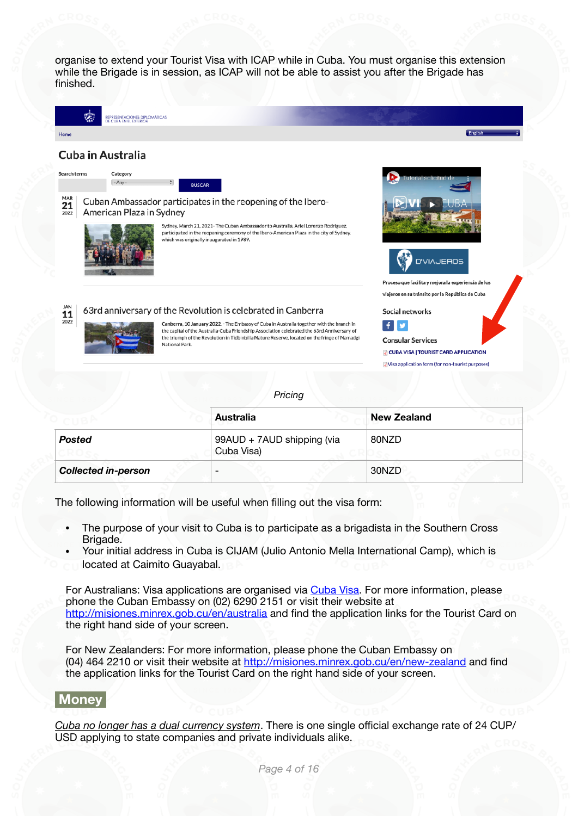organise to extend your Tourist Visa with ICAP while in Cuba. You must organise this extension while the Brigade is in session, as ICAP will not be able to assist you after the Brigade has finished.



*Pricing*

|                            | <b>Australia</b>                         | <b>New Zealand</b> |  |
|----------------------------|------------------------------------------|--------------------|--|
| Posted                     | 99AUD + 7AUD shipping (via<br>Cuba Visa) | 80NZD              |  |
| <b>Collected in-person</b> |                                          | 30NZD              |  |

The following information will be useful when filling out the visa form:

- The purpose of your visit to Cuba is to participate as a brigadista in the Southern Cross Brigade.
- Your initial address in Cuba is CIJAM (Julio Antonio Mella International Camp), which is located at Caimito Guayabal.

For Australians: Visa applications are organised via [Cuba Visa.](http://cubavisa.com.au/tourist-card/) For more information, please phone the Cuban Embassy on (02) 6290 2151 or visit their website at <http://misiones.minrex.gob.cu/en/australia> and find the application links for the Tourist Card on the right hand side of your screen.

For New Zealanders: For more information, please phone the Cuban Embassy on (04) 464 2210 or visit their website at<http://misiones.minrex.gob.cu/en/new-zealand> and find the application links for the Tourist Card on the right hand side of your screen.

# <span id="page-5-0"></span> **Money**

*Cuba no longer has a dual currency system*. There is one single official exchange rate of 24 CUP/ USD applying to state companies and private individuals alike.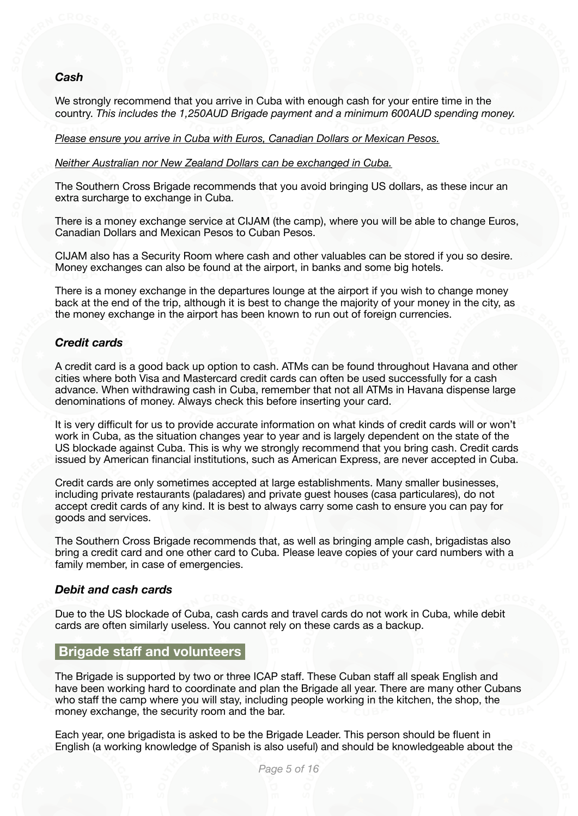#### <span id="page-6-0"></span>*Cash*

We strongly recommend that you arrive in Cuba with enough cash for your entire time in the country. *This includes the 1,250AUD Brigade payment and a minimum 600AUD spending money.*

*Please ensure you arrive in Cuba with Euros, Canadian Dollars or Mexican Pesos.* 

*Neither Australian nor New Zealand Dollars can be exchanged in Cuba.* 

The Southern Cross Brigade recommends that you avoid bringing US dollars, as these incur an extra surcharge to exchange in Cuba.

There is a money exchange service at CIJAM (the camp), where you will be able to change Euros, Canadian Dollars and Mexican Pesos to Cuban Pesos.

CIJAM also has a Security Room where cash and other valuables can be stored if you so desire. Money exchanges can also be found at the airport, in banks and some big hotels.

There is a money exchange in the departures lounge at the airport if you wish to change money back at the end of the trip, although it is best to change the majority of your money in the city, as the money exchange in the airport has been known to run out of foreign currencies.

#### <span id="page-6-1"></span>*Credit cards*

A credit card is a good back up option to cash. ATMs can be found throughout Havana and other cities where both Visa and Mastercard credit cards can often be used successfully for a cash advance. When withdrawing cash in Cuba, remember that not all ATMs in Havana dispense large denominations of money. Always check this before inserting your card.

It is very difficult for us to provide accurate information on what kinds of credit cards will or won't work in Cuba, as the situation changes year to year and is largely dependent on the state of the US blockade against Cuba. This is why we strongly recommend that you bring cash. Credit cards issued by American financial institutions, such as American Express, are never accepted in Cuba.

Credit cards are only sometimes accepted at large establishments. Many smaller businesses, including private restaurants (paladares) and private guest houses (casa particulares), do not accept credit cards of any kind. It is best to always carry some cash to ensure you can pay for goods and services.

The Southern Cross Brigade recommends that, as well as bringing ample cash, brigadistas also bring a credit card and one other card to Cuba. Please leave copies of your card numbers with a family member, in case of emergencies.

#### <span id="page-6-2"></span>*Debit and cash cards*

Due to the US blockade of Cuba, cash cards and travel cards do not work in Cuba, while debit cards are often similarly useless. You cannot rely on these cards as a backup.

## <span id="page-6-3"></span> **Brigade staff and volunteers**

The Brigade is supported by two or three ICAP staff. These Cuban staff all speak English and have been working hard to coordinate and plan the Brigade all year. There are many other Cubans who staff the camp where you will stay, including people working in the kitchen, the shop, the money exchange, the security room and the bar.

Each year, one brigadista is asked to be the Brigade Leader. This person should be fluent in English (a working knowledge of Spanish is also useful) and should be knowledgeable about the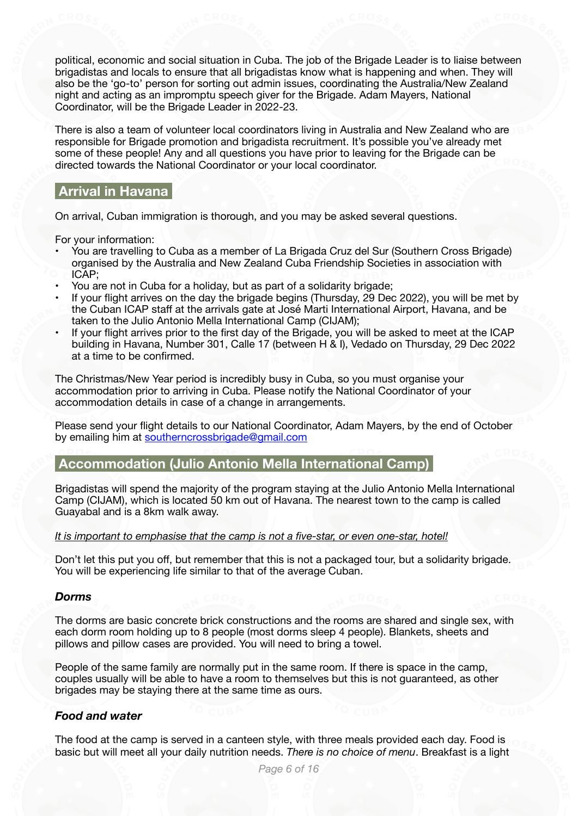political, economic and social situation in Cuba. The job of the Brigade Leader is to liaise between brigadistas and locals to ensure that all brigadistas know what is happening and when. They will also be the 'go-to' person for sorting out admin issues, coordinating the Australia/New Zealand night and acting as an impromptu speech giver for the Brigade. Adam Mayers, National Coordinator, will be the Brigade Leader in 2022-23.

There is also a team of volunteer local coordinators living in Australia and New Zealand who are responsible for Brigade promotion and brigadista recruitment. It's possible you've already met some of these people! Any and all questions you have prior to leaving for the Brigade can be directed towards the National Coordinator or your local coordinator.

# <span id="page-7-0"></span> **Arrival in Havana**

On arrival, Cuban immigration is thorough, and you may be asked several questions.

For your information:

- You are travelling to Cuba as a member of La Brigada Cruz del Sur (Southern Cross Brigade) organised by the Australia and New Zealand Cuba Friendship Societies in association with ICAP;
- You are not in Cuba for a holiday, but as part of a solidarity brigade;
- If your flight arrives on the day the brigade begins (Thursday, 29 Dec 2022), you will be met by the Cuban ICAP staff at the arrivals gate at José Marti International Airport, Havana, and be taken to the Julio Antonio Mella International Camp (CIJAM);
- If your flight arrives prior to the first day of the Brigade, you will be asked to meet at the ICAP building in Havana, Number 301, Calle 17 (between H & I), Vedado on Thursday, 29 Dec 2022 at a time to be confirmed.

The Christmas/New Year period is incredibly busy in Cuba, so you must organise your accommodation prior to arriving in Cuba. Please notify the National Coordinator of your accommodation details in case of a change in arrangements.

Please send your flight details to our National Coordinator, Adam Mayers, by the end of October by emailing him at [southerncrossbrigade@gmail.com](mailto:southerncrossbrigade@gmail.com)

# <span id="page-7-1"></span> **Accommodation (Julio Antonio Mella International Camp)**

Brigadistas will spend the majority of the program staying at the Julio Antonio Mella International Camp (CIJAM), which is located 50 km out of Havana. The nearest town to the camp is called Guayabal and is a 8km walk away.

#### *It is important to emphasise that the camp is not a five-star, or even one-star, hotel!*

Don't let this put you off, but remember that this is not a packaged tour, but a solidarity brigade. You will be experiencing life similar to that of the average Cuban.

#### <span id="page-7-2"></span>*Dorms*

The dorms are basic concrete brick constructions and the rooms are shared and single sex, with each dorm room holding up to 8 people (most dorms sleep 4 people). Blankets, sheets and pillows and pillow cases are provided. You will need to bring a towel.

People of the same family are normally put in the same room. If there is space in the camp, couples usually will be able to have a room to themselves but this is not guaranteed, as other brigades may be staying there at the same time as ours.

### <span id="page-7-3"></span>*Food and water*

The food at the camp is served in a canteen style, with three meals provided each day. Food is basic but will meet all your daily nutrition needs. *There is no choice of menu*. Breakfast is a light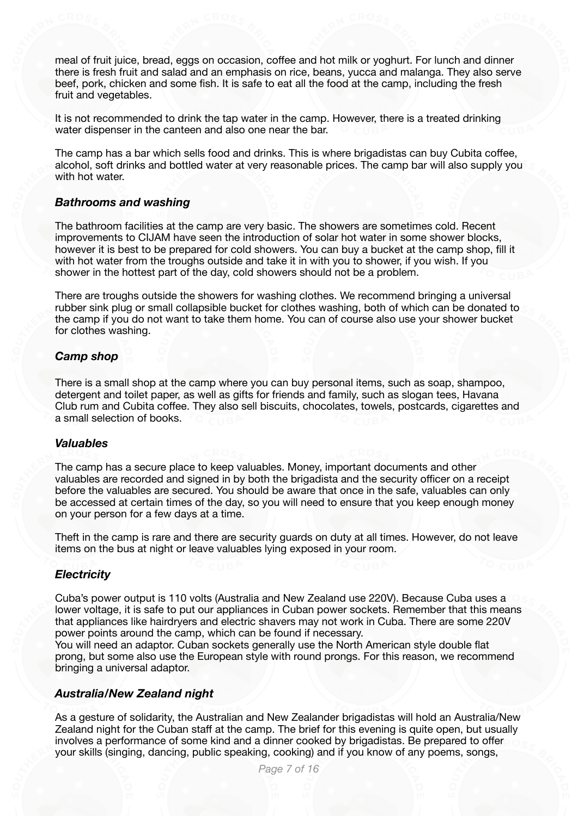meal of fruit juice, bread, eggs on occasion, coffee and hot milk or yoghurt. For lunch and dinner there is fresh fruit and salad and an emphasis on rice, beans, yucca and malanga. They also serve beef, pork, chicken and some fish. It is safe to eat all the food at the camp, including the fresh fruit and vegetables.

It is not recommended to drink the tap water in the camp. However, there is a treated drinking water dispenser in the canteen and also one near the bar.

The camp has a bar which sells food and drinks. This is where brigadistas can buy Cubita coffee, alcohol, soft drinks and bottled water at very reasonable prices. The camp bar will also supply you with hot water.

#### <span id="page-8-0"></span>*Bathrooms and washing*

The bathroom facilities at the camp are very basic. The showers are sometimes cold. Recent improvements to CIJAM have seen the introduction of solar hot water in some shower blocks, however it is best to be prepared for cold showers. You can buy a bucket at the camp shop, fill it with hot water from the troughs outside and take it in with you to shower, if you wish. If you shower in the hottest part of the day, cold showers should not be a problem.

There are troughs outside the showers for washing clothes. We recommend bringing a universal rubber sink plug or small collapsible bucket for clothes washing, both of which can be donated to the camp if you do not want to take them home. You can of course also use your shower bucket for clothes washing.

#### <span id="page-8-1"></span>*Camp shop*

There is a small shop at the camp where you can buy personal items, such as soap, shampoo, detergent and toilet paper, as well as gifts for friends and family, such as slogan tees, Havana Club rum and Cubita coffee. They also sell biscuits, chocolates, towels, postcards, cigarettes and a small selection of books.

#### <span id="page-8-2"></span>*Valuables*

The camp has a secure place to keep valuables. Money, important documents and other valuables are recorded and signed in by both the brigadista and the security officer on a receipt before the valuables are secured. You should be aware that once in the safe, valuables can only be accessed at certain times of the day, so you will need to ensure that you keep enough money on your person for a few days at a time.

Theft in the camp is rare and there are security guards on duty at all times. However, do not leave items on the bus at night or leave valuables lying exposed in your room.

#### <span id="page-8-3"></span>*Electricity*

Cuba's power output is 110 volts (Australia and New Zealand use 220V). Because Cuba uses a lower voltage, it is safe to put our appliances in Cuban power sockets. Remember that this means that appliances like hairdryers and electric shavers may not work in Cuba. There are some 220V power points around the camp, which can be found if necessary.

You will need an adaptor. Cuban sockets generally use the North American style double flat prong, but some also use the European style with round prongs. For this reason, we recommend bringing a universal adaptor.

#### <span id="page-8-4"></span>*Australia/New Zealand night*

As a gesture of solidarity, the Australian and New Zealander brigadistas will hold an Australia/New Zealand night for the Cuban staff at the camp. The brief for this evening is quite open, but usually involves a performance of some kind and a dinner cooked by brigadistas. Be prepared to offer your skills (singing, dancing, public speaking, cooking) and if you know of any poems, songs,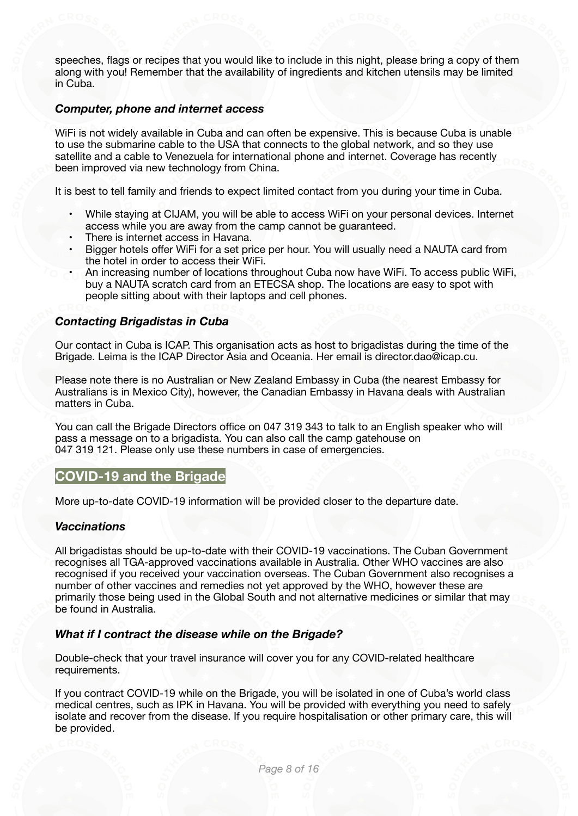speeches, flags or recipes that you would like to include in this night, please bring a copy of them along with you! Remember that the availability of ingredients and kitchen utensils may be limited in Cuba.

#### <span id="page-9-0"></span>*Computer, phone and internet access*

WiFi is not widely available in Cuba and can often be expensive. This is because Cuba is unable to use the submarine cable to the USA that connects to the global network, and so they use satellite and a cable to Venezuela for international phone and internet. Coverage has recently been improved via new technology from China.

It is best to tell family and friends to expect limited contact from you during your time in Cuba.

- While staying at CIJAM, you will be able to access WiFi on your personal devices. Internet access while you are away from the camp cannot be guaranteed.
- There is internet access in Havana.
- Bigger hotels offer WiFi for a set price per hour. You will usually need a NAUTA card from the hotel in order to access their WiFi.
- An increasing number of locations throughout Cuba now have WiFi. To access public WiFi, buy a NAUTA scratch card from an ETECSA shop. The locations are easy to spot with people sitting about with their laptops and cell phones.

#### <span id="page-9-1"></span>*Contacting Brigadistas in Cuba*

Our contact in Cuba is ICAP. This organisation acts as host to brigadistas during the time of the Brigade. Leima is the ICAP Director Asia and Oceania. Her email is director.dao@icap.cu.

Please note there is no Australian or New Zealand Embassy in Cuba (the nearest Embassy for Australians is in Mexico City), however, the Canadian Embassy in Havana deals with Australian matters in Cuba.

You can call the Brigade Directors office on 047 319 343 to talk to an English speaker who will pass a message on to a brigadista. You can also call the camp gatehouse on 047 319 121. Please only use these numbers in case of emergencies.

# <span id="page-9-2"></span>**COVID-19 and the Brigade**

More up-to-date COVID-19 information will be provided closer to the departure date.

#### <span id="page-9-3"></span>*Vaccinations*

All brigadistas should be up-to-date with their COVID-19 vaccinations. The Cuban Government recognises all TGA-approved vaccinations available in Australia. Other WHO vaccines are also recognised if you received your vaccination overseas. The Cuban Government also recognises a number of other vaccines and remedies not yet approved by the WHO, however these are primarily those being used in the Global South and not alternative medicines or similar that may be found in Australia.

#### <span id="page-9-4"></span>*What if I contract the disease while on the Brigade?*

Double-check that your travel insurance will cover you for any COVID-related healthcare requirements.

If you contract COVID-19 while on the Brigade, you will be isolated in one of Cuba's world class medical centres, such as IPK in Havana. You will be provided with everything you need to safely isolate and recover from the disease. If you require hospitalisation or other primary care, this will be provided.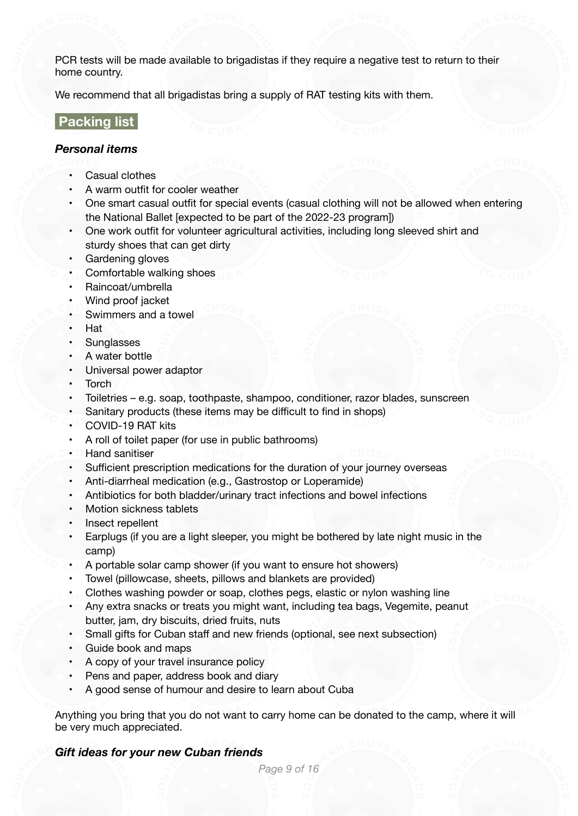PCR tests will be made available to brigadistas if they require a negative test to return to their home country.

We recommend that all brigadistas bring a supply of RAT testing kits with them.

# <span id="page-10-0"></span> **Packing list**

#### <span id="page-10-1"></span>*Personal items*

- Casual clothes
- A warm outfit for cooler weather
- One smart casual outfit for special events (casual clothing will not be allowed when entering the National Ballet [expected to be part of the 2022-23 program])
- One work outfit for volunteer agricultural activities, including long sleeved shirt and sturdy shoes that can get dirty
- Gardening gloves
- Comfortable walking shoes
- Raincoat/umbrella
- Wind proof jacket
- Swimmers and a towel
- Hat
- Sunglasses
- A water bottle
- Universal power adaptor
- Torch
- Toiletries e.g. soap, toothpaste, shampoo, conditioner, razor blades, sunscreen
- Sanitary products (these items may be difficult to find in shops)
- COVID-19 RAT kits
- A roll of toilet paper (for use in public bathrooms)
- Hand sanitiser
- Sufficient prescription medications for the duration of your journey overseas
- Anti-diarrheal medication (e.g., Gastrostop or Loperamide)
- Antibiotics for both bladder/urinary tract infections and bowel infections
- Motion sickness tablets
- Insect repellent
- Earplugs (if you are a light sleeper, you might be bothered by late night music in the camp)
- A portable solar camp shower (if you want to ensure hot showers)
- Towel (pillowcase, sheets, pillows and blankets are provided)
- Clothes washing powder or soap, clothes pegs, elastic or nylon washing line
- Any extra snacks or treats you might want, including tea bags, Vegemite, peanut butter, jam, dry biscuits, dried fruits, nuts
- Small gifts for Cuban staff and new friends (optional, see next subsection)
- Guide book and maps
- A copy of your travel insurance policy
- Pens and paper, address book and diary
- A good sense of humour and desire to learn about Cuba

Anything you bring that you do not want to carry home can be donated to the camp, where it will be very much appreciated.

### <span id="page-10-2"></span>*Gift ideas for your new Cuban friends*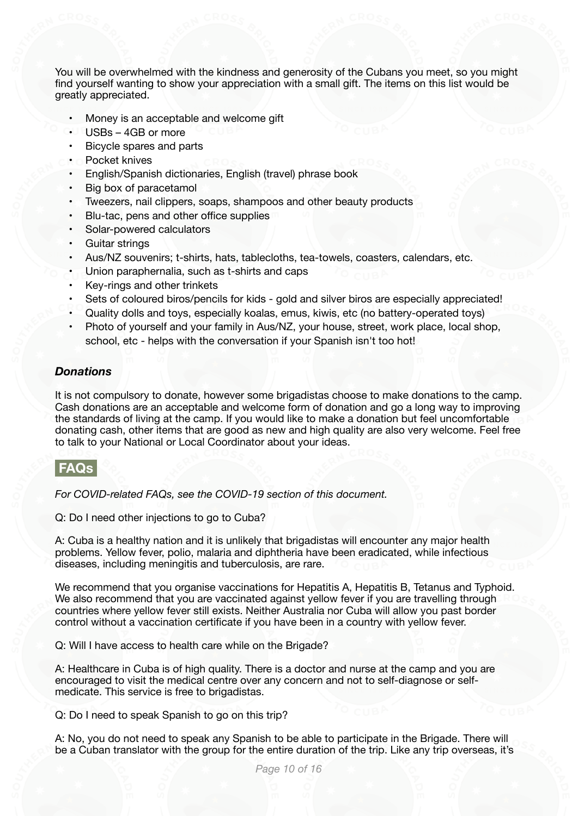You will be overwhelmed with the kindness and generosity of the Cubans you meet, so you might find yourself wanting to show your appreciation with a small gift. The items on this list would be greatly appreciated.

- Money is an acceptable and welcome gift
- USBs 4GB or more
- Bicycle spares and parts
- Pocket knives
- English/Spanish dictionaries, English (travel) phrase book
- Big box of paracetamol
- Tweezers, nail clippers, soaps, shampoos and other beauty products
- Blu-tac, pens and other office supplies
- Solar-powered calculators
- Guitar strings
- Aus/NZ souvenirs; t-shirts, hats, tablecloths, tea-towels, coasters, calendars, etc.
- Union paraphernalia, such as t-shirts and caps
- Key-rings and other trinkets
- Sets of coloured biros/pencils for kids gold and silver biros are especially appreciated!
- Quality dolls and toys, especially koalas, emus, kiwis, etc (no battery-operated toys)
- Photo of yourself and your family in Aus/NZ, your house, street, work place, local shop, school, etc - helps with the conversation if your Spanish isn't too hot!

#### <span id="page-11-0"></span>*Donations*

It is not compulsory to donate, however some brigadistas choose to make donations to the camp. Cash donations are an acceptable and welcome form of donation and go a long way to improving the standards of living at the camp. If you would like to make a donation but feel uncomfortable donating cash, other items that are good as new and high quality are also very welcome. Feel free to talk to your National or Local Coordinator about your ideas.

### <span id="page-11-1"></span> **FAQs**

*For COVID-related FAQs, see the COVID-19 section of this document.* 

Q: Do I need other injections to go to Cuba?

A: Cuba is a healthy nation and it is unlikely that brigadistas will encounter any major health problems. Yellow fever, polio, malaria and diphtheria have been eradicated, while infectious diseases, including meningitis and tuberculosis, are rare.

We recommend that you organise vaccinations for Hepatitis A, Hepatitis B, Tetanus and Typhoid. We also recommend that you are vaccinated against yellow fever if you are travelling through countries where yellow fever still exists. Neither Australia nor Cuba will allow you past border control without a vaccination certificate if you have been in a country with yellow fever.

Q: Will I have access to health care while on the Brigade?

A: Healthcare in Cuba is of high quality. There is a doctor and nurse at the camp and you are encouraged to visit the medical centre over any concern and not to self-diagnose or selfmedicate. This service is free to brigadistas.

Q: Do I need to speak Spanish to go on this trip?

A: No, you do not need to speak any Spanish to be able to participate in the Brigade. There will be a Cuban translator with the group for the entire duration of the trip. Like any trip overseas, it's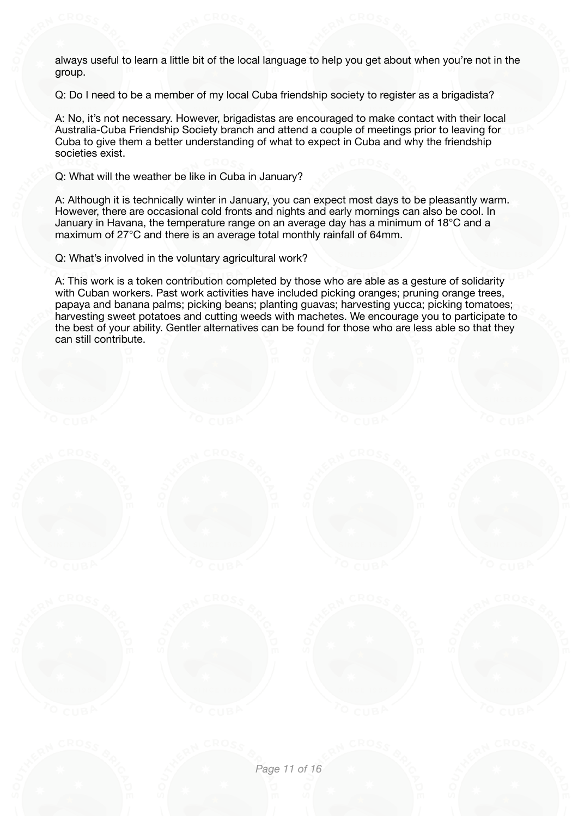always useful to learn a little bit of the local language to help you get about when you're not in the group.

Q: Do I need to be a member of my local Cuba friendship society to register as a brigadista?

A: No, it's not necessary. However, brigadistas are encouraged to make contact with their local Australia-Cuba Friendship Society branch and attend a couple of meetings prior to leaving for Cuba to give them a better understanding of what to expect in Cuba and why the friendship societies exist.

Q: What will the weather be like in Cuba in January?

A: Although it is technically winter in January, you can expect most days to be pleasantly warm. However, there are occasional cold fronts and nights and early mornings can also be cool. In January in Havana, the temperature range on an average day has a minimum of 18 $^{\circ}$ C and a maximum of 27°C and there is an average total monthly rainfall of 64mm.

Q: What's involved in the voluntary agricultural work?

A: This work is a token contribution completed by those who are able as a gesture of solidarity with Cuban workers. Past work activities have included picking oranges; pruning orange trees, papaya and banana palms; picking beans; planting guavas; harvesting yucca; picking tomatoes; harvesting sweet potatoes and cutting weeds with machetes. We encourage you to participate to the best of your ability. Gentler alternatives can be found for those who are less able so that they can still contribute.

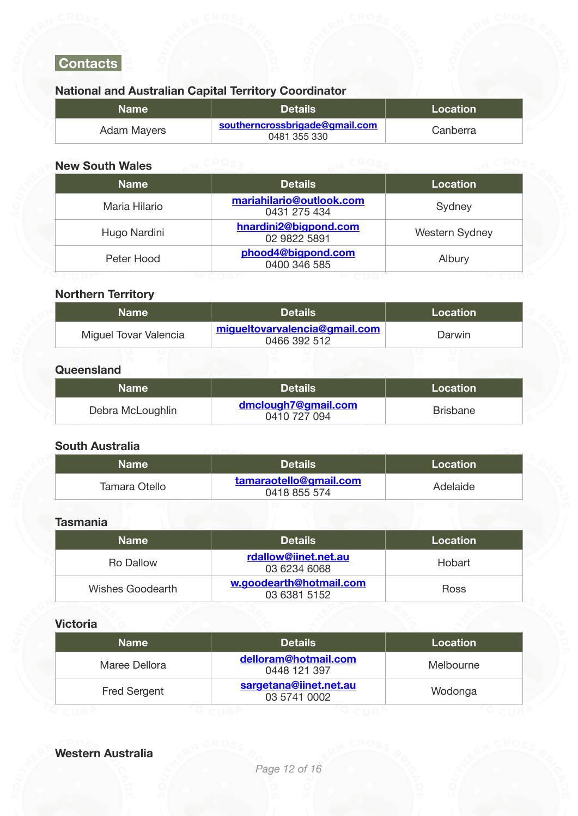# <span id="page-13-0"></span> **Contacts**

# **National and Australian Capital Territory Coordinator**

| <b>Name</b> | <b>Details</b>                                 | Location \ |
|-------------|------------------------------------------------|------------|
| Adam Mayers | southerncrossbrigade@gmail.com<br>0481 355 330 | Canberra   |

# **New South Wales**

| <b>Name</b>   | <b>Details</b>                           | Location              |
|---------------|------------------------------------------|-----------------------|
| Maria Hilario | mariahilario@outlook.com<br>0431 275 434 | Sydney                |
| Hugo Nardini  | hnardini2@bigpond.com<br>02 9822 5891    | <b>Western Sydney</b> |
| Peter Hood    | phood4@bigpond.com<br>0400 346 585       | Albury                |

# **Northern Territory**

| <b>Name</b>           | <b>Details</b>                                | Location |
|-----------------------|-----------------------------------------------|----------|
| Miguel Tovar Valencia | migueltovarvalencia@gmail.com<br>0466 392 512 | Darwin   |
|                       |                                               |          |

# **Queensland**

| <b>Name</b>      | 'Details i                          | Location |
|------------------|-------------------------------------|----------|
| Debra McLoughlin | dmclough7@gmail.com<br>0410 727 094 | Brisbane |

# **South Australia**

| Name          | <b>Details</b>                         | Location |
|---------------|----------------------------------------|----------|
| Tamara Otello | tamaraotello@gmail.com<br>0418 855 574 | Adelaide |

# **Tasmania**

| <b>Name</b>      | <b>Details</b>                          | Location    |
|------------------|-----------------------------------------|-------------|
| Ro Dallow        | rdallow@iinet.net.au<br>03 6234 6068    | Hobart      |
| Wishes Goodearth | w.goodearth@hotmail.com<br>03 6381 5152 | <b>Ross</b> |

### **Victoria**

| <b>Name</b>         | <b>Details</b>                         | Location  |
|---------------------|----------------------------------------|-----------|
| Maree Dellora       | delloram@hotmail.com<br>0448 121 397   | Melbourne |
| <b>Fred Sergent</b> | sargetana@iinet.net.au<br>03 5741 0002 | Wodonga   |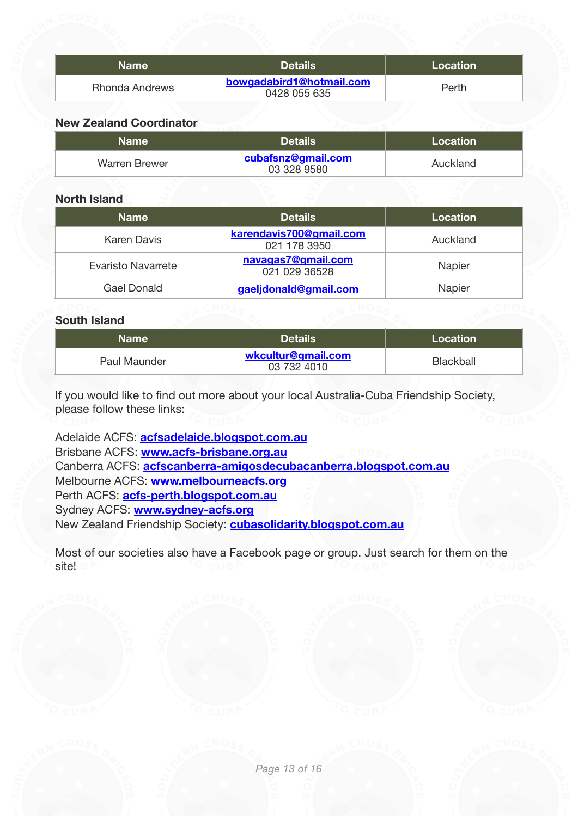| <b>Name</b>           | <b>Details</b>                           | Location |
|-----------------------|------------------------------------------|----------|
| <b>Rhonda Andrews</b> | bowgadabird1@hotmail.com<br>0428 055 635 | Perth    |

# **New Zealand Coordinator**

| <b>Name</b>   | <b>Details</b>                    | Location |
|---------------|-----------------------------------|----------|
| Warren Brewer | cubafsnz@gmail.com<br>03 328 9580 | Auckland |

# **North Island**

| <b>Name</b>        | <b>Details</b>                          | Location |
|--------------------|-----------------------------------------|----------|
| Karen Davis        | karendavis700@gmail.com<br>021 178 3950 | Auckland |
| Evaristo Navarrete | navagas7@gmail.com<br>021 029 36528     | Napier   |
| Gael Donald        | gaeljdonald@gmail.com                   | Napier   |

# **South Island**

| <b>Name</b>  | <b>Details</b>                    | Location  |
|--------------|-----------------------------------|-----------|
| Paul Maunder | wkcultur@gmail.com<br>03 732 4010 | Blackball |

If you would like to find out more about your local Australia-Cuba Friendship Society, please follow these links:

Adelaide ACFS: **[acfsadelaide.blogspot.com.au](http://acfsadelaide.blogspot.com.au/)** Brisbane ACFS: **[www.acfs-brisbane.org.au](http://www.acfs-brisbane.org.au/)** Canberra ACFS: **[acfscanberra-amigosdecubacanberra.blogspot.com.au](http://acfscanberra-amigosdecubacanberra.blogspot.com.au/)** Melbourne ACFS: **[www.melbourneacfs.org](http://www.melbourneacfs.org/)** Perth ACFS: **[acfs-perth.blogspot.com.au](http://acfs-perth.blogspot.com.au/)** Sydney ACFS: **[www.sydney-acfs.org](http://www.sydney-acfs.blogspot.com.au/)** New Zealand Friendship Society: **[cubasolidarity.blogspot.com.au](http://cubasolidarity.blogspot.com.au/)**

Most of our societies also have a Facebook page or group. Just search for them on the site!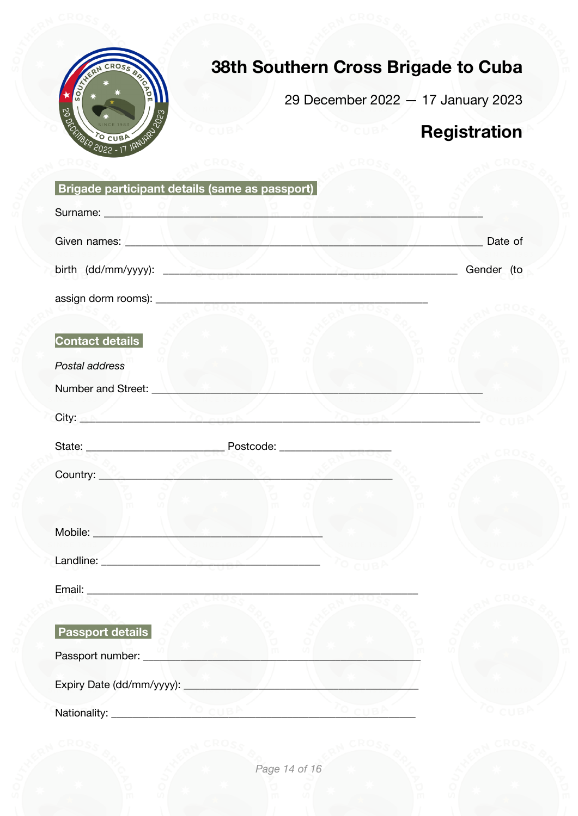

# 38th Southern Cross Brigade to Cuba

29 December 2022 - 17 January 2023

# <span id="page-15-0"></span>Registration

| Brigade participant details (same as passport)                                                                                                                                                                                                                                                        |            |
|-------------------------------------------------------------------------------------------------------------------------------------------------------------------------------------------------------------------------------------------------------------------------------------------------------|------------|
| Surname: <b>En in the serve of the server of the server</b>                                                                                                                                                                                                                                           |            |
|                                                                                                                                                                                                                                                                                                       | Date of    |
|                                                                                                                                                                                                                                                                                                       | Gender (to |
|                                                                                                                                                                                                                                                                                                       |            |
|                                                                                                                                                                                                                                                                                                       |            |
| <b>Contact details</b>                                                                                                                                                                                                                                                                                |            |
| Postal address                                                                                                                                                                                                                                                                                        |            |
| Number and Street: <u>Number and Street:</u>                                                                                                                                                                                                                                                          |            |
| $City: \mathbb{R}$ and $\mathbb{R}$ and $\mathbb{R}$ and $\mathbb{R}$ and $\mathbb{R}$ and $\mathbb{R}$ and $\mathbb{R}$ and $\mathbb{R}$ and $\mathbb{R}$ and $\mathbb{R}$ and $\mathbb{R}$ and $\mathbb{R}$ and $\mathbb{R}$ and $\mathbb{R}$ and $\mathbb{R}$ and $\mathbb{R}$ and $\mathbb{R}$ an |            |
|                                                                                                                                                                                                                                                                                                       |            |
| Country: <b>Country: All Accounts: All Accounts:</b> 2014                                                                                                                                                                                                                                             |            |
|                                                                                                                                                                                                                                                                                                       |            |
| Mobile: <u>Andreas Adam and American State and American State and American State and American State and American State and American State and American State and American State and American State and American State and Americ</u>                                                                  |            |
|                                                                                                                                                                                                                                                                                                       |            |
| Landline: <u>Alexandre Charles and Charles and Charles and Charles and Charles and Charles and Charles and Charles and Charles and Charles and Charles and Charles and Charles and Charles and Charles and Charles and Charles a</u>                                                                  |            |
|                                                                                                                                                                                                                                                                                                       |            |
|                                                                                                                                                                                                                                                                                                       |            |
| <b>Passport details</b>                                                                                                                                                                                                                                                                               |            |
| Passport number: _________________                                                                                                                                                                                                                                                                    |            |
|                                                                                                                                                                                                                                                                                                       |            |
|                                                                                                                                                                                                                                                                                                       |            |

Page 14 of 16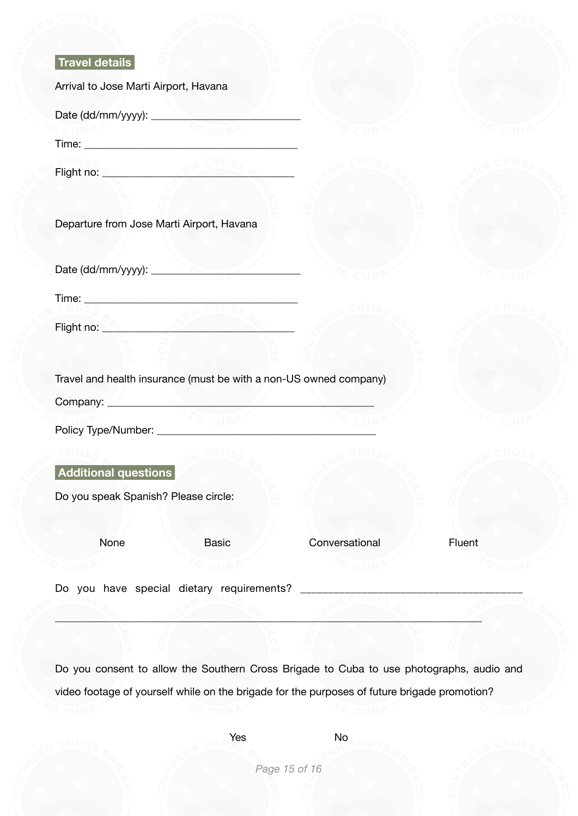| Travel details                                                                                                                                                                                                                       |        |                |        |
|--------------------------------------------------------------------------------------------------------------------------------------------------------------------------------------------------------------------------------------|--------|----------------|--------|
| Arrival to Jose Marti Airport, Havana                                                                                                                                                                                                |        |                |        |
|                                                                                                                                                                                                                                      |        |                |        |
|                                                                                                                                                                                                                                      |        |                |        |
| Flight no: 2                                                                                                                                                                                                                         |        |                |        |
|                                                                                                                                                                                                                                      |        |                |        |
| Departure from Jose Marti Airport, Havana                                                                                                                                                                                            |        |                |        |
|                                                                                                                                                                                                                                      |        |                |        |
|                                                                                                                                                                                                                                      |        |                |        |
| Flight no: <b>Community of the Second Second Second Second Second Second Second Second Second Second Second Second Second Second Second Second Second Second Second Second Second Second Second Second Second Second Second Seco</b> |        |                |        |
|                                                                                                                                                                                                                                      |        |                |        |
| Travel and health insurance (must be with a non-US owned company)                                                                                                                                                                    |        |                |        |
| Company: <u>Manuel Alexander Manuel Alexander Manuel Alexander Manuel Alexander Manuel Alexander Manuel Alexander</u>                                                                                                                |        |                |        |
|                                                                                                                                                                                                                                      | O CUBA |                |        |
|                                                                                                                                                                                                                                      |        |                |        |
| Additional questions                                                                                                                                                                                                                 |        |                |        |
| Do you speak Spanish? Please circle:                                                                                                                                                                                                 |        |                |        |
|                                                                                                                                                                                                                                      |        |                |        |
| None                                                                                                                                                                                                                                 | Basic  | Conversational | Fluent |
|                                                                                                                                                                                                                                      |        |                |        |
| Do you have special dietary requirements?                                                                                                                                                                                            |        |                |        |

Do you consent to allow the Southern Cross Brigade to Cuba to use photographs, audio and video footage of yourself while on the brigade for the purposes of future brigade promotion?

 $\mathcal{L} = \mathcal{L}$